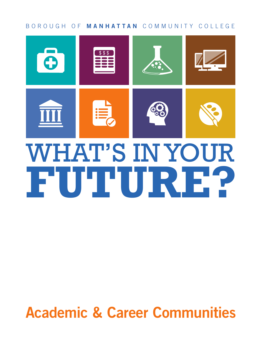#### BOROUGH OF **MANHATTAN** COMMUNITY COLLEGE



# WHAT'S IN YOUR **FUTURE?**

# **Academic & Career Communities**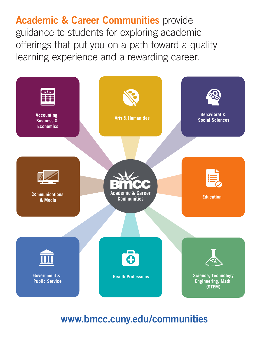**Academic & Career Communities** provide guidance to students for exploring academic offerings that put you on a path toward a quality learning experience and a rewarding career.



# **www.bmcc.cuny.edu/communities**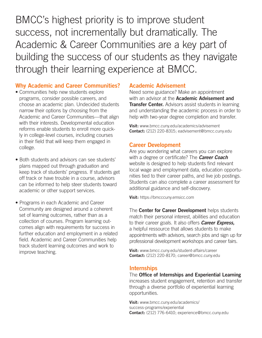BMCC's highest priority is to improve student success, not incrementally but dramatically. The Academic & Career Communities are a key part of building the success of our students as they navigate through their learning experience at BMCC.

#### **Why Academic and Career Communities?**

- Communities help new students explore programs, consider possible careers, and choose an academic plan. Undecided students narrow their options by choosing from the Academic and Career Communities—that align with their interests. Developmental education reforms enable students to enroll more quickly in college-level courses, including courses in their field that will keep them engaged in college.
- Both students and advisors can see students' plans mapped out through graduation and keep track of students' progress. If students get off track or have trouble in a course, advisors can be informed to help steer students toward academic or other support services.
- Programs in each Academic and Career Community are designed around a coherent set of learning outcomes, rather than as a collection of courses. Program learning outcomes align with requirements for success in further education and employment in a related field. Academic and Career Communities help track student learning outcomes and work to improve teaching.

#### **Academic Advisement**

Need some guidance? Make an appointment with an advisor at the **Academic Advisement and Transfer Center.** Advisors assist students in learning and understanding the academic process in order to help with two-year degree completion and transfer.

**Visit:** www.bmcc.cuny.edu/academics/advisement **Contact:** (212) 220-8315; eadvisement@bmcc.cuny.edu

#### **Career Development**

Are you wondering what careers you can explore with a degree or certificate? The *Career Coach* website is designed to help students find relevant local wage and employment data, education opportunities tied to their career paths, and live job postings. Students can also complete a career assessment for additional guidance and self-discovery.

**Visit:** https://bmcccuny.emsicc.com

The **Center for Career Development** helps students match their personal interest, abilities and education to their career goals. It also offers *Career Express,* a helpful ressource that allows students to make appointments with advisors, search jobs and sign up for professional development workshops and career fairs.

**Visit:** www.bmcc.cuny.edu/student-affairs/career **Contact:** (212) 220-8170; career@bmcc.cuny.edu

#### **Internships**

The **Office of Internships and Experiential Learning** increases student engagement, retention and transfer through a diverse portfolio of experiential learning opportunities.

**Visit:** www.bmcc.cuny.edu/academics/ success-programs/experiential **Contact:** (212) 776-6410; experience@bmcc.cuny.edu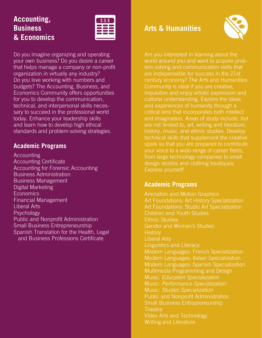## **Accounting, Business & Economics**



Do you imagine organizing and operating your own business? Do you desire a career that helps manage a company or non-profit organization in virtually any industry? Do you love working with numbers and budgets? The Accounting, Business, and Economics Community offers opportunities for you to develop the communication, technical, and interpersonal skills necessary to succeed in the professional world today. Enhance your leadership skills and learn how to develop high ethical standards and problem-solving strategies.

#### **Academic Programs**

Accounting Accounting Certificate Accounting for Forensic Accounting Business Administration Business Management Digital Marketing **Economics** Financial Management Liberal Arts **Psychology** Public and Nonprofit Administration Small Business Entrepreneurship Spanish Translation for the Health, Legal and Business Professions Certificate

#### **Arts & Humanities**



Are you interested in learning about the world around you and want to acquire problem solving and communication skills that are indispensable for success in the 21st century economy? The Arts and Humanities Community is ideal if you are creative, inquisitive and enjoy artistic expression and cultural understanding. Explore the ideas and experiences of humanity through a critical lens that incorporates both intellect and imagination. Areas of study include, but are not limited to, art, writing and literature, history, music, and ethnic studies. Develop technical skills that supplement the creative spark so that you are prepared to contribute your voice to a wide-range of career fields, from large technology companies to small design studios and clothing boutiques. Express yourself!

#### **Academic Programs**

Animation and Motion Graphics Art Foundations: Art History Specialization Art Foundations: Studio Art Specialization Children and Youth Studies Ethnic Studies Gender and Women's Studies **History** Liberal Arts Linguistics and Literacy Modern Languages: French Specialization Modern Languages: Italian Specialization Modern Languages: Spanish Specialization Multimedia Programming and Design Music: *Education Specialization* Music: *Performance Specialization*  Music: *Studies Specialization* Public and Nonprofit Administration Small Business Entrepreneurship **Theatre** Video Arts and Technology Writing and Literature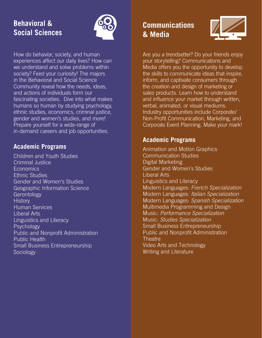# **Behavioral & Social Sciences**



How do behavior, society, and human experiences affect our daily lives? How can we understand and solve problems within society? Feed your curiosity! The majors in the Behavioral and Social Science Community reveal how the needs, ideas, and actions of individuals form our fascinating societies. Dive into what makes humans so human by studying psychology, ethnic studies, economics, criminal justice, gender and women's studies, and more! Prepare yourself for a wide-range of in-demand careers and job opportunities.

#### **Academic Programs**

Children and Youth Studies Criminal Justice **Economics** Ethnic Studies Gender and Women's Studies Geographic Information Science Gerontology **History** Human Services Liberal Arts Linguistics and Literacy Psychology Public and Nonprofit Administration Public Health Small Business Entrepreneurship Sociology

# **Communications & Media**



Are you a trendsetter? Do your friends enjoy your storytelling? Communications and Media offers you the opportunity to develop the skills to communicate ideas that inspire, inform, and captivate consumers through the creation and design of marketing or sales products. Learn how to understand and influence your market through written, verbal, animated, or visual mediums. Industry opportunities include Corporate/ Non-Profit Communication, Marketing, and Corporate Event Planning. Make your mark!

#### **Academic Programs**

Animation and Motion Graphics Communication Studies Digital Marketing Gender and Women's Studies Liberal Arts Linguistics and Literacy Modern Languages: *French Specialization* Modern Languages: *Italian Specialization* Modern Languages: *Spanish Specialization* Multimedia Programming and Design Music: *Performance Specialization*  Music: *Studies Specialization* Small Business Entrepreneurship Public and Nonprofit Administration **Theatre** Video Arts and Technology Writing and Literature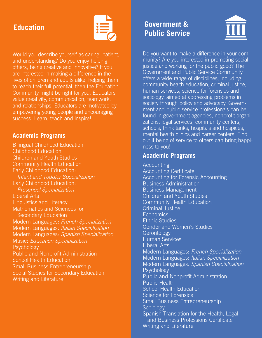#### **Education**



Would you describe yourself as caring, patient, and understanding? Do you enjoy helping others, being creative and innovative? If you are interested in making a difference in the lives of children and adults alike, helping them to reach their full potential, then the Education Community might be right for you. Educators value creativity, communication, teamwork, and relationships. Educators are motivated by empowering young people and encouraging success. Learn, teach and inspire!

#### **Academic Programs**

Bilingual Childhood Education Childhood Education Children and Youth Studies Community Health Education Early Childhood Education:  *Infant and Toddler Specialization* Early Childhood Education:  *Preschool Specialization* Liberal Arts Linguistics and Literacy Mathematics and Sciences for Secondary Education Modern Languages: *French Specialization* Modern Languages: *Italian Specialization* Modern Languages: *Spanish Specialization* Music: *Education Specialization* **Psychology** Public and Nonprofit Administration School Health Education Small Business Entrepreneurship Social Studies for Secondary Education Writing and Literature

# **Government & Public Service**



Do you want to make a difference in your community? Are you interested in promoting social justice and working for the public good? The Government and Public Service Community offers a wide-range of disciplines, including community health education, criminal justice, human services, science for forensics and sociology, aimed at addressing problems in society through policy and advocacy. Government and public service professionals can be found in government agencies, nonprofit organizations, legal services, community centers, schools, think tanks, hospitals and hospices, mental health clinics and career centers. Find out if being of service to others can bring happiness to you!

#### **Academic Programs**

Accounting Accounting Certificate Accounting for Forensic Accounting Business Administration Business Management Children and Youth Studies Community Health Education Criminal Justice **Economics** Ethnic Studies Gender and Women's Studies **Gerontology** Human Services Liberal Arts Modern Languages: *French Specialization* Modern Languages: *Italian Specialization* Modern Languages: *Spanish Specialization* **Psychology** Public and Nonprofit Administration Public Health School Health Education Science for Forensics Small Business Entrepreneurship **Sociology** Spanish Translation for the Health, Legal and Business Professions Certificate Writing and Literature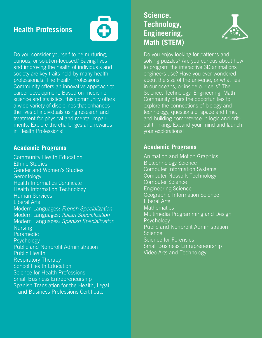# **Health Professions**



Do you consider yourself to be nurturing, curious, or solution-focused? Saving lives and improving the health of individuals and society are key traits held by many health professionals. The Health Professions Community offers an innovative approach to career development. Based on medicine, science and statistics, this community offers a wide variety of disciplines that enhances the lives of individuals using research and treatment for physical and mental impairments. Explore the challenges and rewards in Health Professions!

#### **Academic Programs**

Community Health Education Ethnic Studies Gender and Women's Studies **Gerontology** Health Informatics Certificate Health Information Technology Human Services Liberal Arts Modern Languages: *French Specialization* Modern Languages: *Italian Specialization* Modern Languages: *Spanish Specialization* Nursing **Paramedic** Psychology Public and Nonprofit Administration Public Health Respiratory Therapy School Health Education Science for Health Professions Small Business Entrepreneurship Spanish Translation for the Health, Legal and Business Professions Certificate

### **Science, Technology, Engineering, Math (STEM)**



Do you enjoy looking for patterns and solving puzzles? Are you curious about how to program the interactive 3D animations engineers use? Have you ever wondered about the size of the universe, or what lies in our oceans, or inside our cells? The Science, Technology, Engineering, Math Community offers the opportunities to explore the connections of biology and technology, questions of space and time, and building competence in logic and critical thinking. Expand your mind and launch your explorations!

#### **Academic Programs**

Animation and Motion Graphics Biotechnology Science Computer Information Systems Computer Network Technology Computer Science Engineering Science Geographic Information Science Liberal Arts **Mathematics** Multimedia Programming and Design Psychology Public and Nonprofit Administration Science Science for Forensics Small Business Entrepreneurship Video Arts and Technology